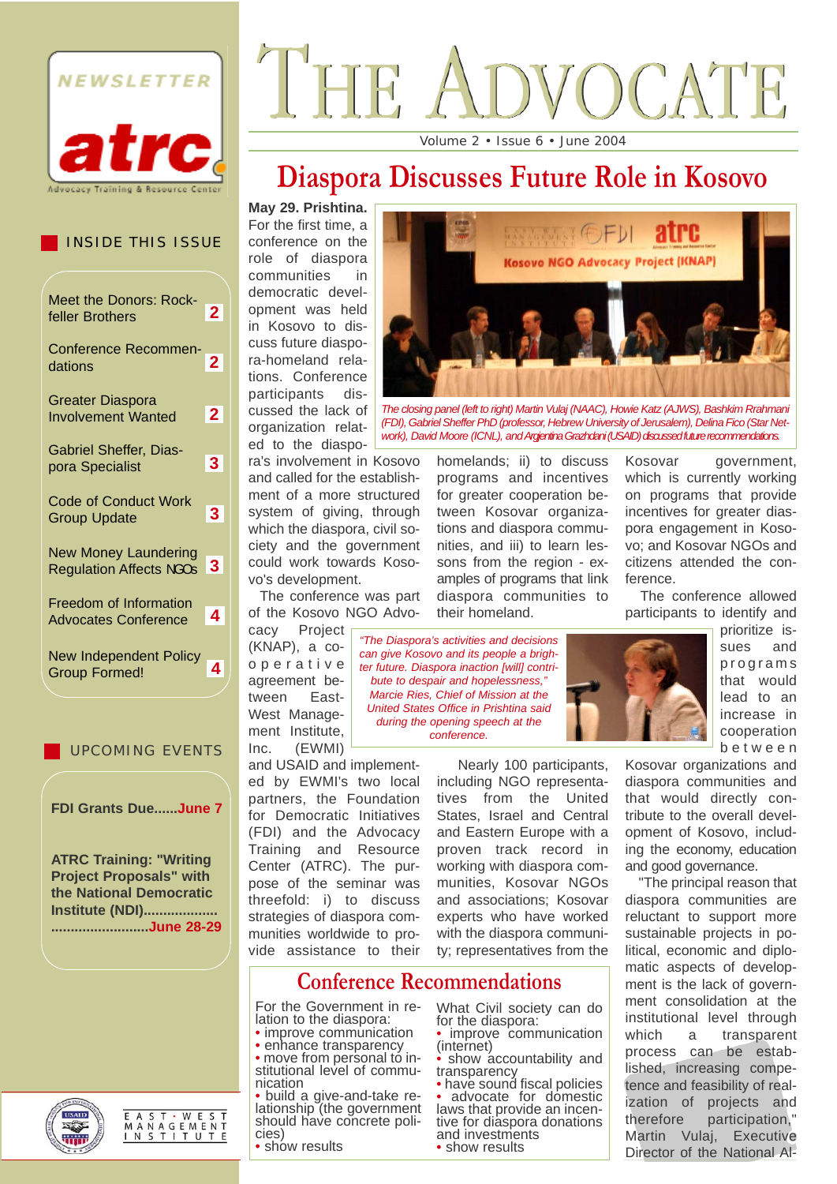

INSIDE THIS ISSUE

Meet the Donors: Rock-

Conference Recommendations **2**

Involvement Wanted **2**

feller Brothers

Greater Diaspora

Gabriel Sheffer, Diaspora Specialist **3**

New Money Laundering Regulation Affects NGOs **3**

Code of Conduct Work

Group Update

Freedom of Information Advocates Conference **4**

New Independent Policy Group Formed! **4**

# VOCATE Volume 2 • Issue 6 • June 2004

# **Diaspora Discusses Future Role in Kosovo**

**May 29. Prishtina.**

**2**

**3**

For the first time, a conference on the role of diaspora communities in democratic development was held in Kosovo to discuss future diaspora-homeland relations. Conference participants discussed the lack of organization related to the diaspo-

ra's involvement in Kosovo and called for the establishment of a more structured system of giving, through which the diaspora, civil society and the government could work towards Kosovo's development.

The conference was part of the Kosovo NGO Advo-

cacy Project (KNAP), a cooperative agreement between East-West Management Institute,

and USAID and implemented by EWMI's two local partners, the Foundation for Democratic Initiatives (FDI) and the Advocacy Training and Resource Center (ATRC). The purpose of the seminar was threefold: i) to discuss strategies of diaspora communities worldwide to provide assistance to their

including NGO representatives from the United States, Israel and Central and Eastern Europe with a proven track record in working with diaspora communities, Kosovar NGOs and associations; Kosovar experts who have worked with the diaspora community; representatives from the

Nearly 100 participants,

# **Conference Recommendations**

For the Government in relation to the diaspora: • improve communication

• enhance transparency

• move from personal to institutional level of communication

• build a give-and-take relationship (the government should have concrete policies)

• show results

What Civil society can do for the diaspora:

• improve communication<br>(internet)

• show accountability and transparency

• have sound fiscal policies • advocate for domestic laws that provide an incentive for diaspora donations and investments • show results



*The closing panel (left to right) Martin Vulaj (NAAC), Howie Katz (AJWS), Bashkim Rrahmani (FDI), Gabriel Sheffer PhD (professor, Hebrew University of Jerusalem), Delina Fico (Star Network), David Moore (ICNL), andArgjentina Grazhdani (USAID) discussed future recommendations.*

homelands; ii) to discuss programs and incentives for greater cooperation between Kosovar organizations and diaspora communities, and iii) to learn lessons from the region - examples of programs that link diaspora communities to their homeland.

*"The Diaspora's activities and decisions can give Kosovo and its people a brigh-* Kosovar government, which is currently working on programs that provide incentives for greater diaspora engagement in Kosovo; and Kosovar NGOs and citizens attended the conference.

The conference allowed participants to identify and

> prioritize issues and programs that would lead to an increase in cooperation between

Kosovar organizations and diaspora communities and that would directly contribute to the overall development of Kosovo, including the economy, education and good governance.

"The principal reason that diaspora communities are reluctant to support more sustainable projects in political, economic and diplomatic aspects of development is the lack of government consolidation at the institutional level through which a transparent process can be established, increasing competence and feasibility of realization of projects and therefore participation," Martin Vulaj, Executive Director of the National Al-









UPCOMING EVENTS

**FDI Grants Due......June 7**

**ATRC Training: "Writing Project Proposals" with the National Democratic Institute (NDI)................... .........................June 28-29**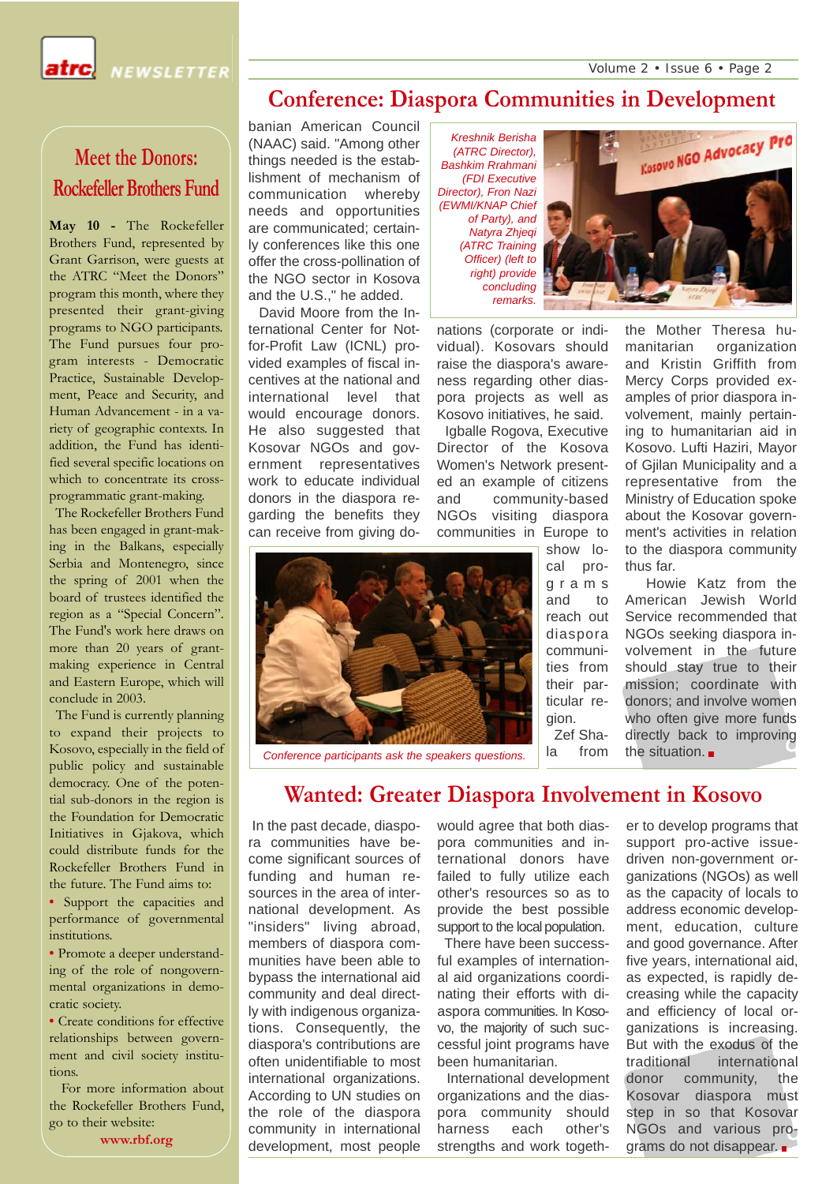Volume 2 • Issue 6 • Page 2



NEWSLETTER

## **Conference: Diaspora Communities in Development**

# **Meet the Donors: Rockefeller Brothers Fund**

**May 10 -** The Rockefeller Brothers Fund, represented by Grant Garrison, were guests at the ATRC "Meet the Donors" program this month, where they presented their grant-giving programs to NGO participants. The Fund pursues four program interests - Democratic Practice, Sustainable Development, Peace and Security, and Human Advancement - in a variety of geographic contexts. In addition, the Fund has identified several specific locations on which to concentrate its crossprogrammatic grant-making.

The Rockefeller Brothers Fund has been engaged in grant-making in the Balkans, especially Serbia and Montenegro, since the spring of 2001 when the board of trustees identified the region as a "Special Concern". The Fund's work here draws on more than 20 years of grantmaking experience in Central and Eastern Europe, which will conclude in 2003.

The Fund is currently planning to expand their projects to Kosovo, especially in the field of public policy and sustainable democracy. One of the potential sub-donors in the region is the Foundation for Democratic Initiatives in Gjakova, which could distribute funds for the Rockefeller Brothers Fund in the future. The Fund aims to:

• Support the capacities and performance of governmental institutions.

• Promote a deeper understanding of the role of nongovernmental organizations in democratic society.

• Create conditions for effective relationships between government and civil society institutions.

For more information about the Rockefeller Brothers Fund, go to their website:

**www.rbf.org**

banian American Council (NAAC) said. "Among other things needed is the establishment of mechanism of communication whereby needs and opportunities are communicated; certainly conferences like this one offer the cross-pollination of the NGO sector in Kosova and the U.S.," he added.

David Moore from the International Center for Notfor-Profit Law (ICNL) provided examples of fiscal incentives at the national and international level that would encourage donors. He also suggested that Kosovar NGOs and government representatives work to educate individual donors in the diaspora regarding the benefits they can receive from giving do-

*Kreshnik Berisha (ATRC Director), Bashkim Rrahmani (FDI Executive Director), Fron Nazi (EWMI/KNAP Chief of Party), and Natyra Zhjeqi (ATRC Training Officer) (left to right) provide concluding remarks.*

nations (corporate or individual). Kosovars should raise the diaspora's awareness regarding other diaspora projects as well as Kosovo initiatives, he said.

Igballe Rogova, Executive Director of the Kosova Women's Network presented an example of citizens and community-based NGOs visiting diaspora communities in Europe to

show local programs and to reach out diaspora communities from their particular region. Zef Shathe Mother Theresa humanitarian organization and Kristin Griffith from Mercy Corps provided examples of prior diaspora involvement, mainly pertaining to humanitarian aid in Kosovo. Lufti Haziri, Mayor of Gjilan Municipality and a representative from the Ministry of Education spoke about the Kosovar government's activities in relation to the diaspora community thus far.

Howie Katz from the American Jewish World Service recommended that NGOs seeking diaspora involvement in the future should stay true to their mission; coordinate with donors; and involve women who often give more funds directly back to improving the situation.

la from

*Conference participants ask the speakers questions.* 

# **Wanted: Greater Diaspora Involvement in Kosovo**

In the past decade, diaspora communities have become significant sources of funding and human resources in the area of international development. As "insiders" living abroad, members of diaspora communities have been able to bypass the international aid community and deal directly with indigenous organizations. Consequently, the diaspora's contributions are often unidentifiable to most international organizations. According to UN studies on the role of the diaspora community in international development, most people

would agree that both diaspora communities and international donors have failed to fully utilize each other's resources so as to provide the best possible support to the local population.

There have been successful examples of international aid organizations coordinating their efforts with diaspora communities. In Kosovo, the majority of such successful joint programs have been humanitarian.

International development organizations and the diaspora community should harness each other's strengths and work together to develop programs that support pro-active issuedriven non-government organizations (NGOs) as well as the capacity of locals to address economic development, education, culture and good governance. After five years, international aid, as expected, is rapidly decreasing while the capacity and efficiency of local organizations is increasing. But with the exodus of the traditional international donor community, the Kosovar diaspora must step in so that Kosovar NGOs and various programs do not disappear.



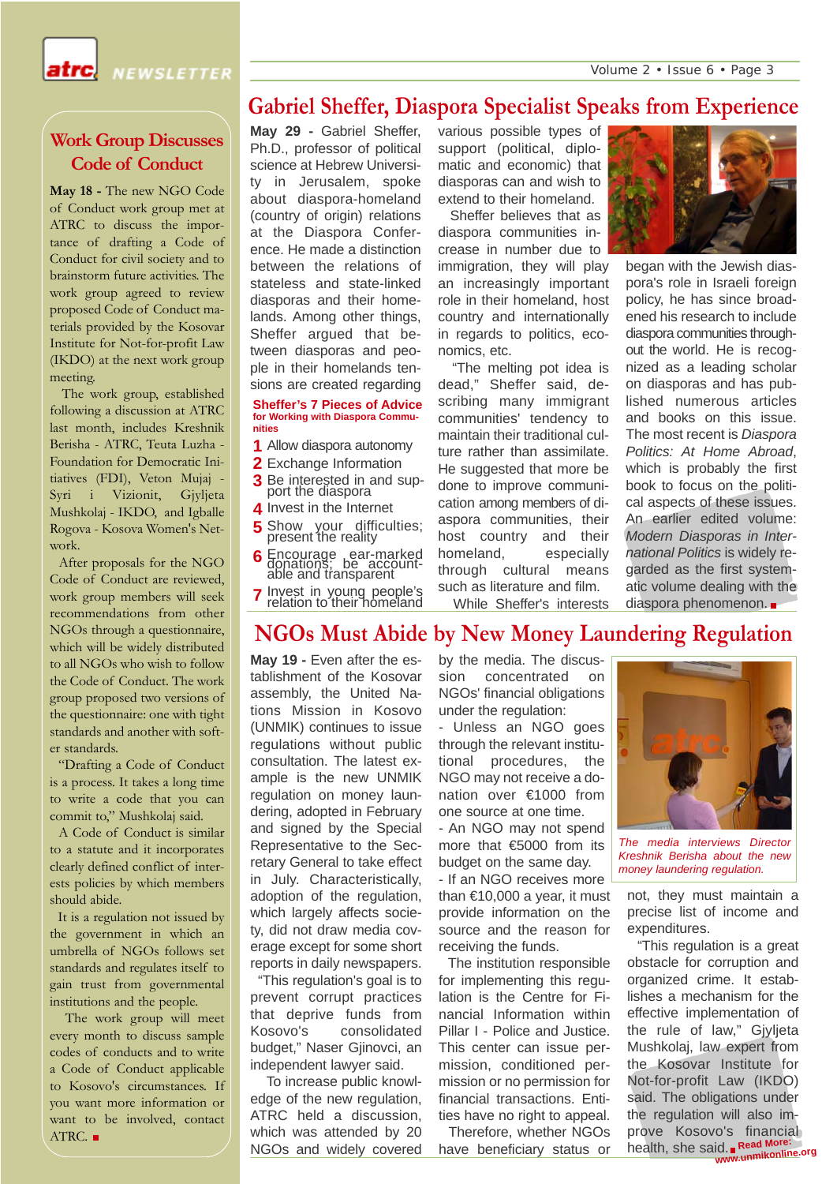Volume 2 • Issue 6 • Page 3

**NEWSLETTER** 

### **Gabriel Sheffer, Diaspora Specialist Speaks from Experience**

**May 18 -** The new NGO Code of Conduct work group met at **Work Group Discusses Code of Conduct**

ATRC to discuss the importance of drafting a Code of Conduct for civil society and to brainstorm future activities. The work group agreed to review proposed Code of Conduct materials provided by the Kosovar Institute for Not-for-profit Law (IKDO) at the next work group meeting.

The work group, established following a discussion at ATRC last month, includes Kreshnik Berisha - ATRC, Teuta Luzha - Foundation for Democratic Initiatives (FDI), Veton Mujaj - Syri i Vizionit, Gjyljeta Mushkolaj - IKDO, and Igballe Rogova - Kosova Women's Network.

After proposals for the NGO Code of Conduct are reviewed, work group members will seek recommendations from other NGOs through a questionnaire, which will be widely distributed to all NGOs who wish to follow the Code of Conduct. The work group proposed two versions of the questionnaire: one with tight standards and another with softer standards.

"Drafting a Code of Conduct is a process. It takes a long time to write a code that you can commit to," Mushkolaj said.

A Code of Conduct is similar to a statute and it incorporates clearly defined conflict of interests policies by which members should abide.

It is a regulation not issued by the government in which an umbrella of NGOs follows set standards and regulates itself to gain trust from governmental institutions and the people.

The work group will meet every month to discuss sample codes of conducts and to write a Code of Conduct applicable to Kosovo's circumstances. If you want more information or want to be involved, contact ATRC.

**May 29 -** Gabriel Sheffer, Ph.D., professor of political science at Hebrew University in Jerusalem, spoke about diaspora-homeland (country of origin) relations at the Diaspora Conference. He made a distinction between the relations of stateless and state-linked diasporas and their homelands. Among other things, Sheffer argued that between diasporas and people in their homelands tensions are created regarding **Sheffer's 7 Pieces of Advice** 

#### **for Working with Diaspora Communities**

- **1** Allow diaspora autonomy
- Exchange Information **2**
- **3** Be interested in and support the diaspora
- 4 Invest in the Internet
- Show your difficulties; **5** Show your diffing present the reality
- Encourage ear-marked donations; be account- able and transparent **6**
- Invest in young people's **7** Invest in young people's relation to their homeland

various possible types of support (political, diplomatic and economic) that diasporas can and wish to extend to their homeland.

Sheffer believes that as diaspora communities increase in number due to immigration, they will play an increasingly important role in their homeland, host country and internationally in regards to politics, economics, etc.

"The melting pot idea is dead," Sheffer said, describing many immigrant communities' tendency to maintain their traditional culture rather than assimilate. He suggested that more be done to improve communication among members of diaspora communities, their host country and their homeland, especially through cultural means such as literature and film. While Sheffer's interests



began with the Jewish diaspora's role in Israeli foreign policy, he has since broadened his research to include diaspora communities throughout the world. He is recognized as a leading scholar on diasporas and has published numerous articles and books on this issue. The most recent is *Diaspora Politics: At Home Abroad*, which is probably the first book to focus on the political aspects of these issues. An earlier edited volume: *Modern Diasporas in International Politics* is widely regarded as the first systematic volume dealing with the diaspora phenomenon.

# **NGOs Must Abide by New Money Laundering Regulation**

**May 19 -** Even after the establishment of the Kosovar assembly, the United Nations Mission in Kosovo (UNMIK) continues to issue regulations without public consultation. The latest example is the new UNMIK regulation on money laundering, adopted in February and signed by the Special Representative to the Secretary General to take effect in July. Characteristically, adoption of the regulation, which largely affects society, did not draw media coverage except for some short reports in daily newspapers.

"This regulation's goal is to prevent corrupt practices that deprive funds from Kosovo's consolidated budget," Naser Gjinovci, an independent lawyer said.

To increase public knowledge of the new regulation, ATRC held a discussion, which was attended by 20 NGOs and widely covered by the media. The discussion concentrated on NGOs' financial obligations under the regulation:

- Unless an NGO goes through the relevant institutional procedures, the NGO may not receive a donation over €1000 from one source at one time.

- An NGO may not spend more that €5000 from its budget on the same day.

- If an NGO receives more than  $€10,000$  a year, it must provide information on the source and the reason for receiving the funds.

The institution responsible for implementing this regulation is the Centre for Financial Information within Pillar I - Police and Justice. This center can issue permission, conditioned permission or no permission for financial transactions. Entities have no right to appeal.

Therefore, whether NGOs have beneficiary status or



*The media interviews Director Kreshnik Berisha about the new money laundering regulation.*

not, they must maintain a precise list of income and expenditures.

"This regulation is a great obstacle for corruption and organized crime. It establishes a mechanism for the effective implementation of the rule of law," Gjyljeta Mushkolaj, law expert from the Kosovar Institute for Not-for-profit Law (IKDO) said. The obligations under the regulation will also improve Kosovo's financial health, she said.<sub>■</sub> Read More: **www.unmikonline.org**